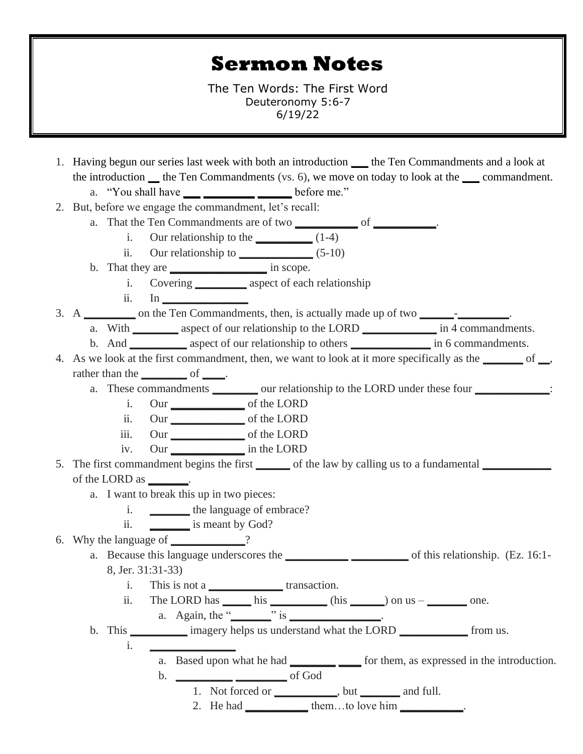## **Sermon Notes**

The Ten Words: The First Word Deuteronomy 5:6-7 6/19/22

- 1. Having begun our series last week with both an introduction **\_\_\_** the Ten Commandments and a look at the introduction **\_\_** the Ten Commandments (vs. 6), we move on today to look at the **\_\_\_** commandment. a. "You shall have **\_\_\_ \_\_\_\_\_\_\_\_\_ \_\_\_\_\_\_** before me."
- 2. But, before we engage the commandment, let's recall:
	- a. That the Ten Commandments are of two **\_\_\_\_\_\_\_\_\_\_\_** of **\_\_\_\_\_\_\_\_\_\_\_**.
		- i. Our relationship to the **\_\_\_\_\_\_\_\_\_\_** (1-4)
		- ii. Our relationship to **\_\_\_\_\_\_\_\_\_\_\_\_\_** (5-10)
	- b. That they are **\_\_\_\_\_\_\_\_\_\_\_\_\_\_\_\_\_** in scope.
		- i. Covering **\_\_\_\_\_\_\_\_\_** aspect of each relationship
		- ii. In **\_\_\_\_\_\_\_\_\_\_\_\_\_\_\_**
- 3. A **\_\_\_\_\_\_\_\_\_** on the Ten Commandments, then, is actually made up of two **\_\_\_\_\_\_**-**\_\_\_\_\_\_\_\_\_**.
	- a. With **\_\_\_\_\_\_\_\_** aspect of our relationship to the LORD **\_\_\_\_\_\_\_\_\_\_\_\_\_** in 4 commandments.
	- b. And **\_\_\_\_\_\_\_\_\_\_** aspect of our relationship to others **\_\_\_\_\_\_\_\_\_\_\_\_\_\_** in 6 commandments.
- 4. As we look at the first commandment, then, we want to look at it more specifically as the **\_\_\_\_\_\_\_** of **\_\_**, rather than the <u>same set of set of set of set of set of set of set of set of set of set of set of set of set of set of set of set of set of set of set of set of set of set of set of set of set of set of set of set of set </u>
	- a. These commandments **\_\_\_\_\_\_\_\_** our relationship to the LORD under these four **\_\_\_\_\_\_\_\_\_\_\_\_\_**:
		- i. Our **\_\_\_\_\_\_\_\_\_\_\_\_\_** of the LORD
			- ii. Our **\_\_\_\_\_\_\_\_\_\_\_\_\_** of the LORD
			- iii. Our **\_\_\_\_\_\_\_\_\_\_\_\_\_** of the LORD
		- iv. Our **\_\_\_\_\_\_\_\_\_\_\_\_\_** in the LORD
- 5. The first commandment begins the first **\_\_\_\_\_\_** of the law by calling us to a fundamental **\_\_\_\_\_\_\_\_\_\_\_\_** of the LORD as **\_\_\_\_\_\_\_**.
	- a. I want to break this up in two pieces:
		- i. **\_\_\_\_\_\_\_** the language of embrace?
		- ii. **\_\_\_\_\_\_\_** is meant by God?
- 6. Why the language of ?
	- a. Because this language underscores the **\_\_\_\_\_\_\_\_\_ \_\_\_\_\_\_\_\_** of this relationship. (Ez. 16:1-8, Jer. 31:31-33)
		- i. This is not a **\_\_\_\_\_\_\_\_\_\_\_\_\_** transaction.
		- ii. The LORD has  $\_\_\_\$ his  $\_\_\_\$  (his  $\_\_\)$  on us  $\_\_\_\_\_\$ one. a. Again, the "**\_\_\_\_\_\_\_**" is **\_\_\_\_\_\_\_\_\_\_\_\_\_\_\_\_**.
	- b. This **\_\_\_\_\_\_\_\_\_\_** imagery helps us understand what the LORD **\_\_\_\_\_\_\_\_\_\_\_\_** from us. i. **\_\_\_\_\_\_\_\_\_\_\_\_\_\_\_**
		- a. Based upon what he had **\_\_\_\_\_\_\_\_ \_\_\_\_** for them, as expressed in the introduction.
		- b. **\_\_\_\_\_\_\_\_\_\_ \_\_\_\_\_\_\_\_\_** of God 1. Not forced or **\_\_\_\_\_\_\_\_\_\_\_**, but **\_\_\_\_\_\_\_** and full.
			- 2. He had **\_\_\_\_\_\_\_\_\_\_\_** them…to love him **\_\_\_\_\_\_\_\_\_\_\_**.